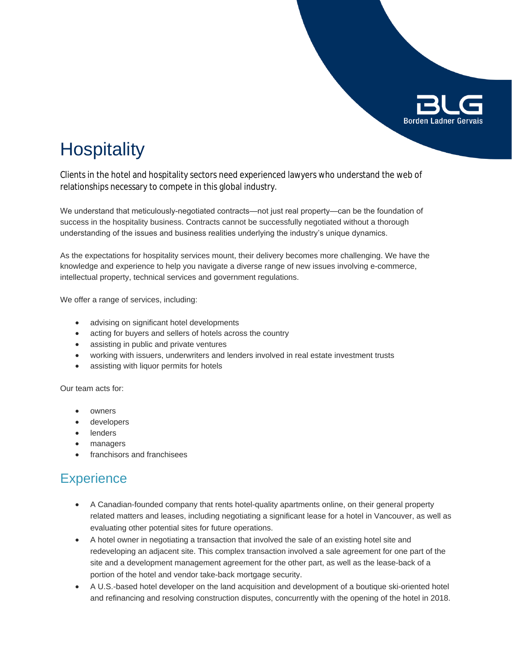

## **Hospitality**

Clients in the hotel and hospitality sectors need experienced lawyers who understand the web of relationships necessary to compete in this global industry.

We understand that meticulously-negotiated contracts—not just real property—can be the foundation of success in the hospitality business. Contracts cannot be successfully negotiated without a thorough understanding of the issues and business realities underlying the industry's unique dynamics.

As the expectations for hospitality services mount, their delivery becomes more challenging. We have the knowledge and experience to help you navigate a diverse range of new issues involving e-commerce, intellectual property, technical services and government regulations.

We offer a range of services, including:

- advising on significant hotel developments
- acting for buyers and sellers of hotels across the country
- assisting in public and private ventures
- working with issuers, underwriters and lenders involved in real estate investment trusts
- assisting with liquor permits for hotels

Our team acts for:

- owners
- developers
- lenders
- managers
- franchisors and franchisees

### **Experience**

- A Canadian-founded company that rents hotel-quality apartments online, on their general property related matters and leases, including negotiating a significant lease for a hotel in Vancouver, as well as evaluating other potential sites for future operations.
- A hotel owner in negotiating a transaction that involved the sale of an existing hotel site and redeveloping an adjacent site. This complex transaction involved a sale agreement for one part of the site and a development management agreement for the other part, as well as the lease-back of a portion of the hotel and vendor take-back mortgage security.
- A U.S.-based hotel developer on the land acquisition and development of a boutique ski-oriented hotel and refinancing and resolving construction disputes, concurrently with the opening of the hotel in 2018.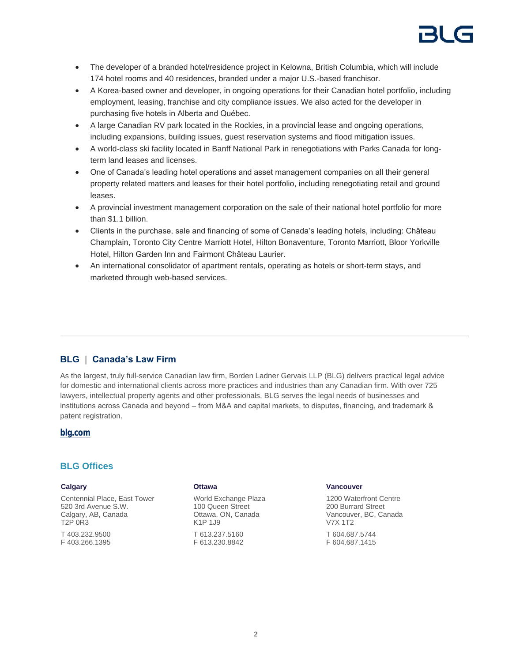

- The developer of a branded hotel/residence project in Kelowna, British Columbia, which will include 174 hotel rooms and 40 residences, branded under a major U.S.-based franchisor.
- A Korea-based owner and developer, in ongoing operations for their Canadian hotel portfolio, including employment, leasing, franchise and city compliance issues. We also acted for the developer in purchasing five hotels in Alberta and Québec.
- A large Canadian RV park located in the Rockies, in a provincial lease and ongoing operations, including expansions, building issues, guest reservation systems and flood mitigation issues.
- A world-class ski facility located in Banff National Park in renegotiations with Parks Canada for longterm land leases and licenses.
- One of Canada's leading hotel operations and asset management companies on all their general property related matters and leases for their hotel portfolio, including renegotiating retail and ground leases.
- A provincial investment management corporation on the sale of their national hotel portfolio for more than \$1.1 billion.
- Clients in the purchase, sale and financing of some of Canada's leading hotels, including: Château Champlain, Toronto City Centre Marriott Hotel, Hilton Bonaventure, Toronto Marriott, Bloor Yorkville Hotel, Hilton Garden Inn and Fairmont Château Laurier.
- An international consolidator of apartment rentals, operating as hotels or short-term stays, and marketed through web-based services.

#### **BLG | Canada's Law Firm**

As the largest, truly full-service Canadian law firm, Borden Ladner Gervais LLP (BLG) delivers practical legal advice for domestic and international clients across more practices and industries than any Canadian firm. With over 725 lawyers, intellectual property agents and other professionals, BLG serves the legal needs of businesses and institutions across Canada and beyond – from M&A and capital markets, to disputes, financing, and trademark & patent registration.

#### **[blg.com](http://www.blg.com)**

#### **BLG Offices**

#### **Calgary**

Centennial Place, East Tower 520 3rd Avenue S.W. Calgary, AB, Canada T2P 0R3

T 403.232.9500 F 403.266.1395

#### **Ottawa**

World Exchange Plaza 100 Queen Street Ottawa, ON, Canada K1P 1J9 T 613.237.5160 F 613.230.8842

#### **Vancouver**

1200 Waterfront Centre 200 Burrard Street Vancouver, BC, Canada V7X 1T2 T 604.687.5744 F 604.687.1415